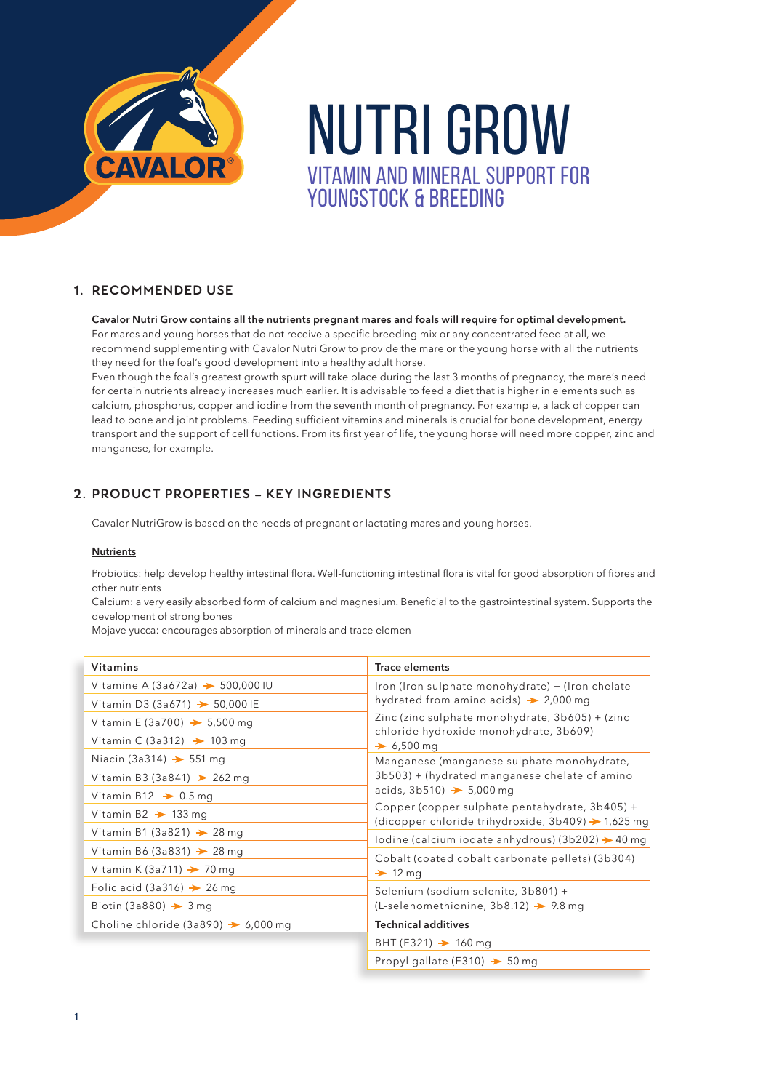

# NUTRI GROW VITAMIN AND MINERAL SUPPORT FOR YOUNGSTOCK & BREEDING

### 1. RECOMMENDED USE

**Cavalor Nutri Grow contains all the nutrients pregnant mares and foals will require for optimal development.** For mares and young horses that do not receive a specific breeding mix or any concentrated feed at all, we recommend supplementing with Cavalor Nutri Grow to provide the mare or the young horse with all the nutrients they need for the foal's good development into a healthy adult horse.

Even though the foal's greatest growth spurt will take place during the last 3 months of pregnancy, the mare's need for certain nutrients already increases much earlier. It is advisable to feed a diet that is higher in elements such as calcium, phosphorus, copper and iodine from the seventh month of pregnancy. For example, a lack of copper can lead to bone and joint problems. Feeding sufficient vitamins and minerals is crucial for bone development, energy transport and the support of cell functions. From its first year of life, the young horse will need more copper, zinc and manganese, for example.

# 2. PRODUCT PROPERTIES – KEY INGREDIENTS

Cavalor NutriGrow is based on the needs of pregnant or lactating mares and young horses.

#### **Nutrients**

Probiotics: help develop healthy intestinal flora. Well-functioning intestinal flora is vital for good absorption of fibres and other nutrients

Calcium: a very easily absorbed form of calcium and magnesium. Beneficial to the gastrointestinal system. Supports the development of strong bones

Mojave yucca: encourages absorption of minerals and trace elemen

| <b>Vitamins</b>                                 | <b>Trace elements</b>                                                                                                                                                                                                                                                                                                                                                                                                                                                                                   |  |
|-------------------------------------------------|---------------------------------------------------------------------------------------------------------------------------------------------------------------------------------------------------------------------------------------------------------------------------------------------------------------------------------------------------------------------------------------------------------------------------------------------------------------------------------------------------------|--|
| Vitamine A (3a672a) $\rightarrow$ 500,000 IU    | Iron (Iron sulphate monohydrate) + (Iron chelate<br>hydrated from amino acids) $\rightarrow$ 2,000 mg                                                                                                                                                                                                                                                                                                                                                                                                   |  |
| Vitamin D3 (3a671) $\rightarrow$ 50,000 IE      |                                                                                                                                                                                                                                                                                                                                                                                                                                                                                                         |  |
| Vitamin E (3a700) $\rightarrow$ 5,500 mg        | Zinc (zinc sulphate monohydrate, 3b605) + (zinc<br>chloride hydroxide monohydrate, 3b609)<br>$\div 6,500 \text{ ma}$                                                                                                                                                                                                                                                                                                                                                                                    |  |
| Vitamin C (3a312) $\rightarrow$ 103 mg          |                                                                                                                                                                                                                                                                                                                                                                                                                                                                                                         |  |
| Niacin (3a314) $\rightarrow$ 551 mg             | Manganese (manganese sulphate monohydrate,<br>3b503) + (hydrated manganese chelate of amino<br>acids, $3b510$ ) $\rightarrow$ 5,000 mg<br>Copper (copper sulphate pentahydrate, 3b405) +<br>(dicopper chloride trihydroxide, $3b409$ ) $\rightarrow$ 1,625 mg<br>lodine (calcium iodate anhydrous) (3b202) $\rightarrow$ 40 mg<br>Cobalt (coated cobalt carbonate pellets) (3b304)<br>$\rightarrow$ 12 mg<br>Selenium (sodium selenite, 3b801) +<br>$(L-selenomethionine, 3b8.12)$ $\rightarrow$ 9.8 mg |  |
| Vitamin B3 (3a841) $\rightarrow$ 262 mg         |                                                                                                                                                                                                                                                                                                                                                                                                                                                                                                         |  |
| Vitamin B12 $\rightarrow$ 0.5 mg                |                                                                                                                                                                                                                                                                                                                                                                                                                                                                                                         |  |
| Vitamin B2 $\rightarrow$ 133 mg                 |                                                                                                                                                                                                                                                                                                                                                                                                                                                                                                         |  |
| Vitamin B1 (3a821) $\rightarrow$ 28 mg          |                                                                                                                                                                                                                                                                                                                                                                                                                                                                                                         |  |
| Vitamin B6 (3a831) $\rightarrow$ 28 mg          |                                                                                                                                                                                                                                                                                                                                                                                                                                                                                                         |  |
| Vitamin K (3a711) $\rightarrow$ 70 mg           |                                                                                                                                                                                                                                                                                                                                                                                                                                                                                                         |  |
| Folic acid (3a316) $\rightarrow$ 26 mg          |                                                                                                                                                                                                                                                                                                                                                                                                                                                                                                         |  |
| Biotin (3a880) $\rightarrow$ 3 mg               |                                                                                                                                                                                                                                                                                                                                                                                                                                                                                                         |  |
| Choline chloride (3a890) $\rightarrow$ 6,000 mg | <b>Technical additives</b>                                                                                                                                                                                                                                                                                                                                                                                                                                                                              |  |
|                                                 | BHT (E321) $\rightarrow$ 160 mg                                                                                                                                                                                                                                                                                                                                                                                                                                                                         |  |
|                                                 | Propyl gallate (E310) $\rightarrow$ 50 mg                                                                                                                                                                                                                                                                                                                                                                                                                                                               |  |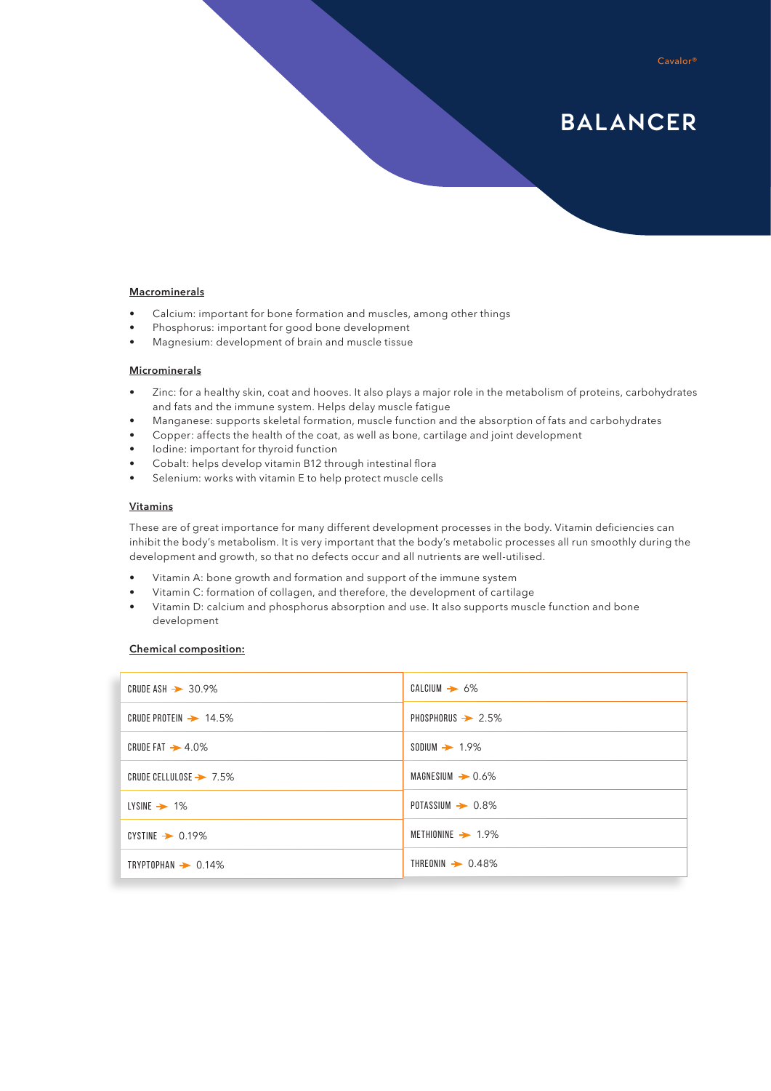#### Cavalor®

# BALANCER

#### **Macrominerals**

- Calcium: important for bone formation and muscles, among other things
- Phosphorus: important for good bone development
- Magnesium: development of brain and muscle tissue

#### **Microminerals**

- Zinc: for a healthy skin, coat and hooves. It also plays a major role in the metabolism of proteins, carbohydrates and fats and the immune system. Helps delay muscle fatigue
- Manganese: supports skeletal formation, muscle function and the absorption of fats and carbohydrates
- Copper: affects the health of the coat, as well as bone, cartilage and joint development
- Iodine: important for thyroid function
- Cobalt: helps develop vitamin B12 through intestinal flora
- Selenium: works with vitamin E to help protect muscle cells

#### **Vitamins**

These are of great importance for many different development processes in the body. Vitamin deficiencies can inhibit the body's metabolism. It is very important that the body's metabolic processes all run smoothly during the development and growth, so that no defects occur and all nutrients are well-utilised.

- Vitamin A: bone growth and formation and support of the immune system
- Vitamin C: formation of collagen, and therefore, the development of cartilage
- Vitamin D: calcium and phosphorus absorption and use. It also supports muscle function and bone development

#### **Chemical composition:**

| CRUDE ASH $\rightarrow$ 30.9%      | $CALCIUM \rightarrow 6\%$     |
|------------------------------------|-------------------------------|
| CRUDE PROTEIN $\rightarrow$ 14.5%  | PHOSPHORUS $\rightarrow$ 2.5% |
| CRUDE FAT $\rightarrow$ 4.0%       | $SODIUM \rightarrow 1.9\%$    |
| CRUDE CELLULOSE $\rightarrow$ 7.5% | $MAGNESIUM \rightarrow 0.6\%$ |
| $LYSINE \rightarrow 1\%$           | POTASSIUM $\rightarrow$ 0.8%  |
| CYSTINE $\rightarrow$ 0.19%        | METHIONINE $\rightarrow$ 1.9% |
| TRYPTOPHAN $\rightarrow$ 0.14%     | THREONIN $\rightarrow$ 0.48%  |